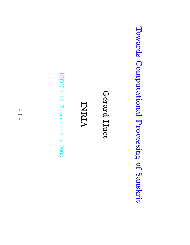Towards Computational Processing Towards Computational Processing of Sanskrit Sanskrit

G´erard Huet

INRIA

ICON-2003, December 20st 2003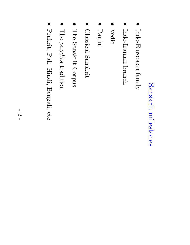# Sanskrit milestones milestones

- Indo-European Indo-European family
- $\bullet$ Indo-Iranian Indo-Iranian branch
- $\bullet$ Vedic
- ${\rm \dot{Pa}}$ ini
- $\bullet$ Classical Classical Sanskrit
- $\bullet$ The Sanskrit Corpus
- The pan. .dita tradition
- $\bullet$ Prakrit, Pāli, Hindi, Bengali, etc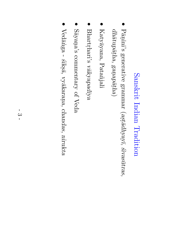## Sanskrit Indian Tradition

- ${\rm \dot{H}\rm \dot{a}}$ ini's generative grammar  $\diagup$  $a$ s.t $\bar{a}$ dhyay $\bar{a}$ ´sivas¯utras,  $dh\bar{a}t$ up $\bar{a}t\bar{h}a,$ gan.  $ap\bar{a}tha)$
- ${\rm Katsy}$ ayana, Katyāyana, Patañjali
- $\bullet$  $\operatorname{Bhat}_\mathrm{right}^\mathrm{?}$  $\mathrm{v}\bar{\mathrm{a}}$ kyapadīya
- $\bullet$  $\mathrm{S\bar{a}}$ yan. a's commentary of Veda
- $\bullet$ Ved¯a ˙nga -  $\tilde{sliks\bar{a}},$ vy¯akaran.  $\vec{a}$ chandas, nirukta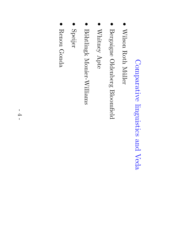## Comparative linguistics and Veda

- $\bullet$ Wilson  $\operatorname{Rooth}$ M¨uller
- Bergaigne Oldenberg Bloomfield
- Whitney Apte
- Böhtlingk Monier-Williams Monier-Williams
- Speijer
- $\bullet$ Renou Gonda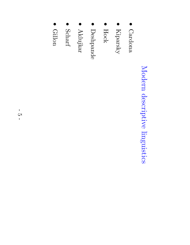# Modern descriptive linguistics

- Cardona Cardona
- $\bullet$ Kiparsky
- $\bullet$ Hock
- Deshpande Deshpande
- $\bullet$ Aklujkar
- Scharf
- Gillon

-  $\mathbf C$ र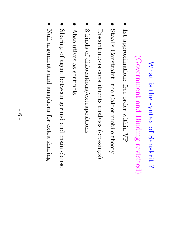#### $\rm M_{hatt}$  $\Xi.$ the syntax  $\Gamma$ Sanskrit  $\ddot{\sim}$

# (Government and Binding revisited)

- $\frac{1}{\mathrm{d}}$ approximation: free order within  $\rm \Delta$
- Staal's Constraint: the Calder mobile theory
- Discontinuous constituents analysis (crossings)
- $\bullet$ ಲು kinds of dislocations/extrapositions
- $\bullet$ Absolutives Absolutives as sentinels sentinels
- $\bullet$ Sharing of agent between gerund and main clause
- $\bullet$ Null arguments and anaphora for extra sharing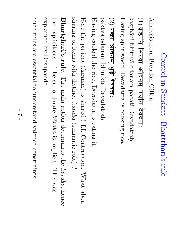#### Control in<br>N Sanskrit: Bhartr . hari's rule  $\begin{array}{ccccc} \textbf{1} & \textbf{2} & \textbf{5} & \textbf{1} & \textbf{1} & \textbf{1} & \textbf{1} & \textbf{1} & \textbf{1} & \textbf{1} & \textbf{1} & \textbf{1} & \textbf{1} & \textbf{1} & \textbf{1} & \textbf{1} & \textbf{1} & \textbf{1} & \textbf{1} & \textbf{1} & \textbf{1} & \textbf{1} & \textbf{1} & \textbf{1} & \textbf{1} & \textbf{1} & \textbf{1} & \textbf{1} & \textbf{1} & \textbf{1} & \text$ L Sa<br>Gille<br>T

Analysis from Brendan Gillon. and the contract of the contract of the contract of the contract of the contract of the contract of the contract of

## (1) .<br>ا .<br>.<br>.<br>.<br>.

kașthāni bhittv¯a odanam pacati Devadattah. Having split wood, Devadatta  $\Xi.$ cooking rice. Ittva oc<br>. wood,<br>**दनम् भु**  

# $(2)$  पक्त  $\overline{a}$

 ${\rm pads}$ odanam bhu ˙nkte Devadattah.

Having cooked the rice, Devadatta  $\Xi.$ eating .<br>T:

Here the patient (karman)  $\Xi.$ shared ! LL Contraction.  $\operatorname{What}$ about sharing of items with distinct k¯araka (semantic role)  $\dot{\sim}$ 

Bhartr . hari's rule. The main action determines the kāraka, hence the explicit case. The subordinate k¯araka  $\Xi.$ implicit. This was explained  $\mathcal{\overset{\sim}{Q}}$ Deshpande.

Such rules are essential  $\Xi$ understand valence constraints.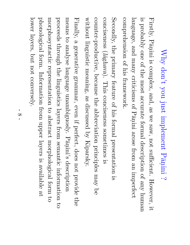#### Why  $\operatorname{dom}{\mathfrak t}$ you just implement  ${\rm J\bar{a}}$ ini  $\dot{\sim}$

 $\mathrm{Firstly},$  ${\rm \dot{Pa}}$ ini  $\Xi.$ complex, and, e<br>So  $\mathop{\otimes}\limits^{\mathop{\mathsf{CS}}\nolimits}$ saw, not sufficient. However,  $\Xi$ :  $\Xi.$  $\Lambda$ ldabl $\Lambda$ one of the most accurate formal description of  $\rm\chi_{\rm UPS}$ human language, and  $\Lambda$ ure $\rm{u}$ criticisms of  ${\rm reg}_\mathrm{d}$ ini arose from an<br>D imperfect comprehension of his framework.

 $\operatorname{Secondly},$ the primary feature of his formal presentation  $\Xi.$ conciseness  $\left($ l $\bar{a}$ ghava ). This conciseness sometimes  $\Xi.$ counter-productive, because the abbreviation principles  $\Lambda$ e $\rm{u}$ a<br>O without linguistic meaning, e<br>S discussed  $\mathcal{\overset{\sim}{X}}$ Kiparsky.  ${\rm Finally,}$  $\omega$ generative grammar, even  $\Xi$ : perfect, does not provide the<br>P means  $\Xi$ analyse language unambiguosly.  ${\rm \dot{Pa}}$ ini's description proceeds  ${\rm d} \rm{smooth}$ the linguistics layers from semantic information  $\Xi^+$ morphosyntactic representation  $\mathfrak{S}$ abstract morphological form  $\mathfrak{S}$ phonological form. Information from upper layers  $\Xi.$ available ည $\frac{\infty}{2}$ lower layers, but not conversely.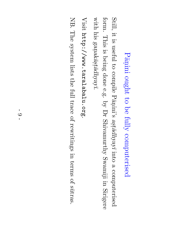#### $\operatorname{tr}\nolimits_{\operatorname{gl}\nolimits}$ ini ought  $\mathsf{S}^{\mathsf{t}}$  $\mathbf{S}$ fully computerised

Still, it.  $\Xi.$ useful  $\mathfrak{S}$ compile  $\operatorname{L}\bar{\operatorname{gn}}$ ini's  $\bar{u}$ aştā $dh$ yay into  $\omega$ computerised form. This  $\Xi.$ being done e.g.  $\mathcal{\widetilde{Q}}$  $\rm \Omega_{I}$  $\operatorname{Sinkamart}$ Swamiji in.<br>I Sirigere with his gan.  $ak\bar{a}$ s.

Visit http://www.taralabalu.org.

NB. The system lists the full trace  $\Xi$ rewritings in terms of s¯utras.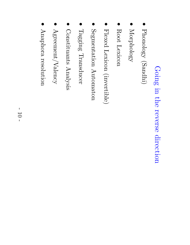### Going in<br>N the reverse direction

- $\bullet$ Phonology Phonology (Sandhi)
- $\bullet$ Morphology Morphology
- $\bullet$ Root Lexicon
- $\bullet$ Flexed Lexicon (invertible)
- Segmentation Automaton Segmentation Automaton
- Tagging Transducer Transducer
- Constituants Constituants Analysis
- $\bullet$ Agreement/Valency  ${\rm A}$ greement/Valency
- $\bullet$ Anaphora resolution resolution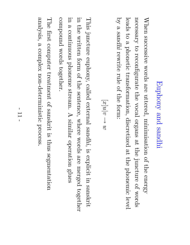### Euphony and sandhi

When successive words are uttered, minimisation of the energy necessary  $\Xi$ reconfigurate the vocal organs ည $\frac{\infty}{2}$ the juncture of words leads  $\Xi$ a phonetic transformation, discretized ည $\frac{\infty}{2}$ the phonemic level  $\mathcal{\overset{\sim}{Q}}$  $\mathbf \varrho$ sandhi rewrite rule of the form:

$$
m \leftarrow a[n[x]
$$

This juncture euphony, called external sandhi,  $\Xi.$ explicit in sanskrit in the written form of the sentence, where words are merged together in  $\mathbf \varphi$ continuous phoneme stream.  $\blacktriangleright$ similar operation glues compound words together.

The first computer treatment of sanskrit  $\Xi.$ thus segmentation analysis,  $\mathbf \varphi$ complex non-deterministic process.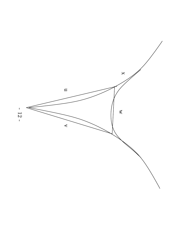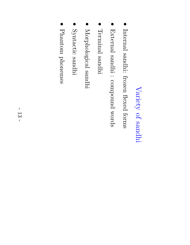### Variety  $\Gamma$ sandhi

- Internal sandhi: frozen flexed forms
- External sandhi : compound words
- Terminal Terminal sandhi
- $\bullet$ Morphological sandhi
- $\bullet$ Syntactic sandhi
- Phantom Phantom phonemes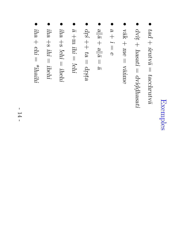# Exemples

- $\bullet$ tad  $\overline{+}$  $\tilde{s}$ rutvā  $\overline{\phantom{a}}$  $t$ acchru $t$ vā
- dvit .  $\overline{+}$ hasati  $\overline{\phantom{a}}$ dvid . . dhasati
- $\chi_{\rm AV}$  $+$  $\partial U$  $\overline{\phantom{a}}$  $\widetilde{\mathcal{B}}$ ˙nme
- $\bullet$ a  $\overline{+}$ İ.  $\prod$  $\mathbb O$
- $\bullet$  $\frac{|a|}{|a|}$  $\overline{+}$  $\frac{|a|}{|a|}$  $\overline{\phantom{a}}$  $\overline{a}$
- dr . ´ s  $^+_+$  $\widehat{e}$  $\prod$ drsta
- $\bullet$ ¯ a  $\frac{1}{\mathrm{B}}$ ihi  $\overline{\phantom{a}}$ !ehi
- $\bullet$ iha  $\frac{1}{\infty}$ !ehi  $\overline{\phantom{a}}$ ihehi
- iha  $\frac{1}{\infty}$ ihi  $\overline{\phantom{a}}$ ihehi
- iha  $+$ ehi  $\overline{\phantom{a}}$ \*ihaihi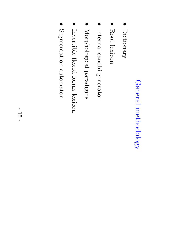# General methodology methodology

- $\bullet$ Dictionary Dictionary
- $\bullet$ Root lexicon
- $\bullet$ Internal sandhi generator
- Morphological Morphological paradigms
- Invertible flexed forms lexicon
- $\bullet$ Segmentation automaton Segmentation automaton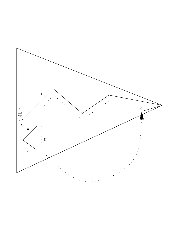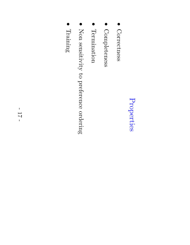# Properties

- Correctness Correctness
- Completeness Completeness
- $\bullet$ Termination Termination
- $\bullet$ Non sensitivity  $\Xi$ preference ordering
- $\bullet$ Training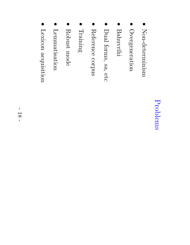#### Problems Problems

- $\bullet$ Non-determinism Non-determinism
- Overgeneration Overgeneration
- **Bahuvrīhi** Bahuvrihi
- $\bullet$  $\operatorname{Dual}$ forms, sa, etc
- Reference Reference corpus
- Training
- Robust mode
- $\bullet$ Lemmatisation Lemmatisation
- $\bullet$ Lexicon acquisition acquisition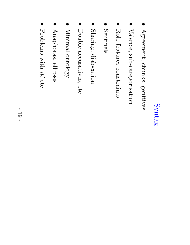## Syntax

- Agreement, chunks, genitives
- $\bullet$ Valence, sub-categorisation
- $\bullet$ Role features constraints
- $\bullet$ Sentinels Sentinels
- Sharing, dislocation dislocation
- Double accusatives, etc
- Minimal Minimal ontology
- $\bullet$ Anaphoras, Anaphoras, ellipses
- $\bullet$ Problems with .<br>Iti etc.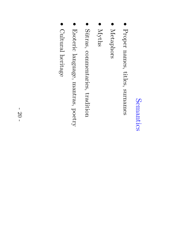#### Semantics Semantics

- $\bullet$ Proper names, titles, surnames
- Metaphors Metaphors
- $\bullet$ Myths
- Sūtras, commentaries, tradition
- Esoteric language, mantras, poetry
- $\bullet$ Cultural heritage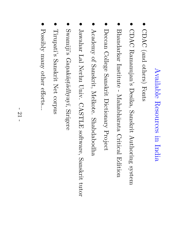## Available Resources in<br>N India

- $\bullet$ CDAC (and others) Fonts
- $\bullet$ CDAC Ramanujan's Desika, Sanskrit Authoring system
- $\bullet$ Bhandarkar Institute -  $\rm MaxB1$ arata Critical Edition
- $\bullet$ Deccan College Sanskrit Dictionary Project
- Academy of Sanskrit, Melkote. Shabdabodha
- $J\mathrm{aW}$ ahar la<br>Lal Nerhu Univ. CASTLE software, Sanskrit tutor
- Swamiji's Gan.  $ak\bar{a}$ ç $t\bar{a}dh$ yay $\bar{a}$ , Sirigere
- $\bullet$ Tirupati's Sanskrit Net corpus
- $\bullet$ Possibly  $\Lambda$ urg $\rm{u}$ other efforts...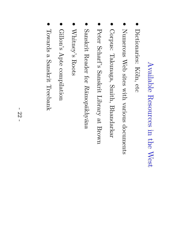### Available Resources in<br>N the West

- $\bullet$ Dictionaries: Köln, etc
- Numerous Web sites with various documents
- Corpus: Takunaga,  $\mathrm{Smith},$ Bhandarkar
- Peter Scharf's Sanskrit Library ည $\frac{\infty}{2}$ Brown
- Sanskrit Reader for  $R\bar{a}$ mopākhyāna
- Whitney's Roots
- $\bullet$ Gillon's Apte compilation
- $\bullet$ Towards a Sanskrit Treebank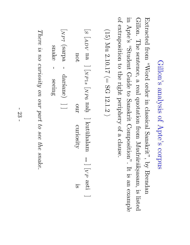### Gillon's analysis of Apte's corpus

Extracted from  ${\rm p}$   ${\rm q}$   ${\rm (M_2)}$ order in classical  $\operatorname{Sanskrit}$ ",  $\mathrm{sq}$ Brendan Gillon. The sentence, a real quotation from Mudrārāksasam  $\overline{\phantom{a}}$  $\Xi.$ listed in Apte's "Student Guide  $\Xi^+$ Sanskrit  $\mathrm{Composition}$ ".  $\bf \overline{I}$  $\Xi.$ an<br>D example of extraposition  $\Xi^+$ the right periphery of a clause.

(15)  $\rm \stackrel{M}{N}$ 2.10.17  $\widehat{\mathbb{I}}$  $\Omega$ 12.1.2  $\smile$ 

 $S$  $\begin{bmatrix} \mathcal{A} \mathcal{P} \end{bmatrix}$  $\prec$ not na<br>B ]  $\sum$  $P1s$  $\sum$  $\mathcal{L}$ ටා nah. our ] kut¯uhalam curiosity ]  $\leq$  $\mathcal{L}% _{A}=\mathcal{L}_{A}\!\left( A;B\right) ,\qquad \mathcal{L}_{A}\!\left( A;B\right) =\mathcal{L}_{A}\!\left( A;B\right) ,$ asti is ]  $N$  $\mathcal{L}$  $\lnot$ snak  $_{\rm edges}$  darśane) —— ]

There  $\mathcal{S}.$  $\partial \mathcal{U}$ curiosity on our  $p$ art  $\mathcal{O}$ see the snake.

O

-

seeing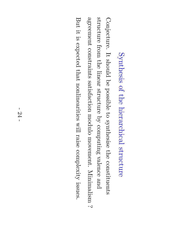## Synthesis of the hierarchical structure

Conjecture.  $\bm{\Pi}$ should ଚ<br>ଚ possible  $\mathfrak{S}$ synthesise the constituents structure from the linear structure  $\mathcal{\widetilde{Q}}$ computing valence and agreement constraints satisfaction modulo movement. Minimalism  $\dot{\sim}$ But  $\Xi$ :  $\Xi.$ expected  $\thinspace \mathrm{that}$ nonlinearities will raise complexity issues.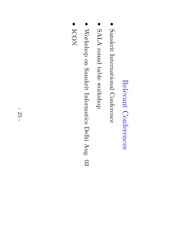## Relevant Conferences Relevant Conferences

- Sanskrit International Conference International Conference
- SALA round table workshop
- Workshop on Sanskrit Informatics Delhi Aug.  $\mathbb{S}$
- $\bullet$ ICON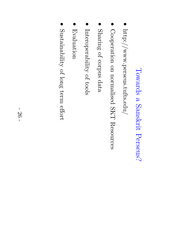### Towards  $\boldsymbol{\mathsf{\Omega}}$ Sanskrit Perseus?

- http://www.perseus.tufts.edu/ http://www.perseus.tufts.edu/
- Cooperation on normalised SKT Resources
- Sharing of corpus data
- $\bullet$ Interoperability  $\Xi$ tools
- $\bullet$ Evaluation Evaluation
- $\operatorname{Sustainability}$ of long term effort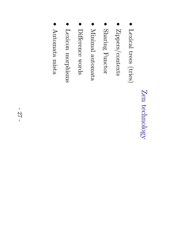## Zen technology technology

- Lexical trees (tries)
- $\bullet$ Zippers/contexts
- $\bullet$ Sharing Functor
- $\bullet$ Minimal automata Minimal automata
- $\bullet$ Difference Difference words
- Lexicon morphisms morphisms
- Automata Automata mista